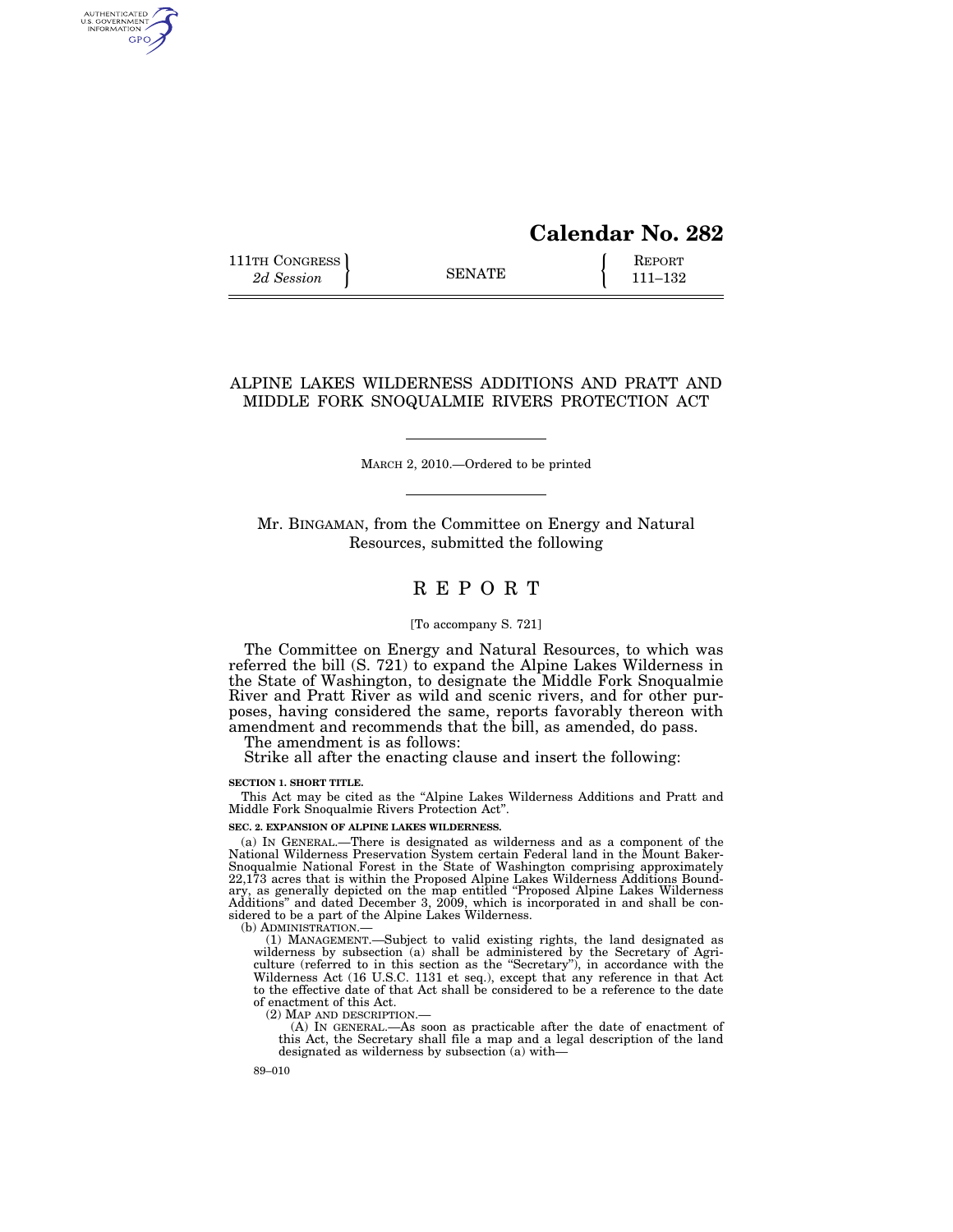# **Calendar No. 282**

111TH CONGRESS **REPORT** 2d Session **111 EXECUTE 111** - 132

AUTHENTICATED<br>U.S. GOVERNMENT<br>INFORMATION GPO

# ALPINE LAKES WILDERNESS ADDITIONS AND PRATT AND MIDDLE FORK SNOQUALMIE RIVERS PROTECTION ACT

MARCH 2, 2010.—Ordered to be printed

Mr. BINGAMAN, from the Committee on Energy and Natural Resources, submitted the following

# R E P O R T

# [To accompany S. 721]

The Committee on Energy and Natural Resources, to which was referred the bill (S. 721) to expand the Alpine Lakes Wilderness in the State of Washington, to designate the Middle Fork Snoqualmie River and Pratt River as wild and scenic rivers, and for other purposes, having considered the same, reports favorably thereon with amendment and recommends that the bill, as amended, do pass.

The amendment is as follows:

Strike all after the enacting clause and insert the following:

#### **SECTION 1. SHORT TITLE.**

This Act may be cited as the ''Alpine Lakes Wilderness Additions and Pratt and Middle Fork Snoqualmie Rivers Protection Act''.

**SEC. 2. EXPANSION OF ALPINE LAKES WILDERNESS.** 

(a) IN GENERAL.—There is designated as wilderness and as a component of the National Wilderness Preservation System certain Federal land in the Mount Baker-Snoqualmie National Forest in the State of Washington comprising approximately 22,173 acres that is within the Proposed Alpine Lakes Wilderness Additions Bound-ary, as generally depicted on the map entitled ''Proposed Alpine Lakes Wilderness Additions'' and dated December 3, 2009, which is incorporated in and shall be con-sidered to be a part of the Alpine Lakes Wilderness.

(b) ADMINISTRATION.— (1) MANAGEMENT.—Subject to valid existing rights, the land designated as wilderness by subsection (a) shall be administered by the Secretary of Agriculture (referred to in this section as the ''Secretary''), in accordance with the Wilderness Act (16 U.S.C. 1131 et seq.), except that any reference in that Act to the effective date of that Act shall be considered to be a reference to the date of enactment of this Act.

(2) MAP AND DESCRIPTION.—

(A) IN GENERAL.—As soon as practicable after the date of enactment of this Act, the Secretary shall file a map and a legal description of the land designated as wilderness by subsection  $(a)$  with-

89–010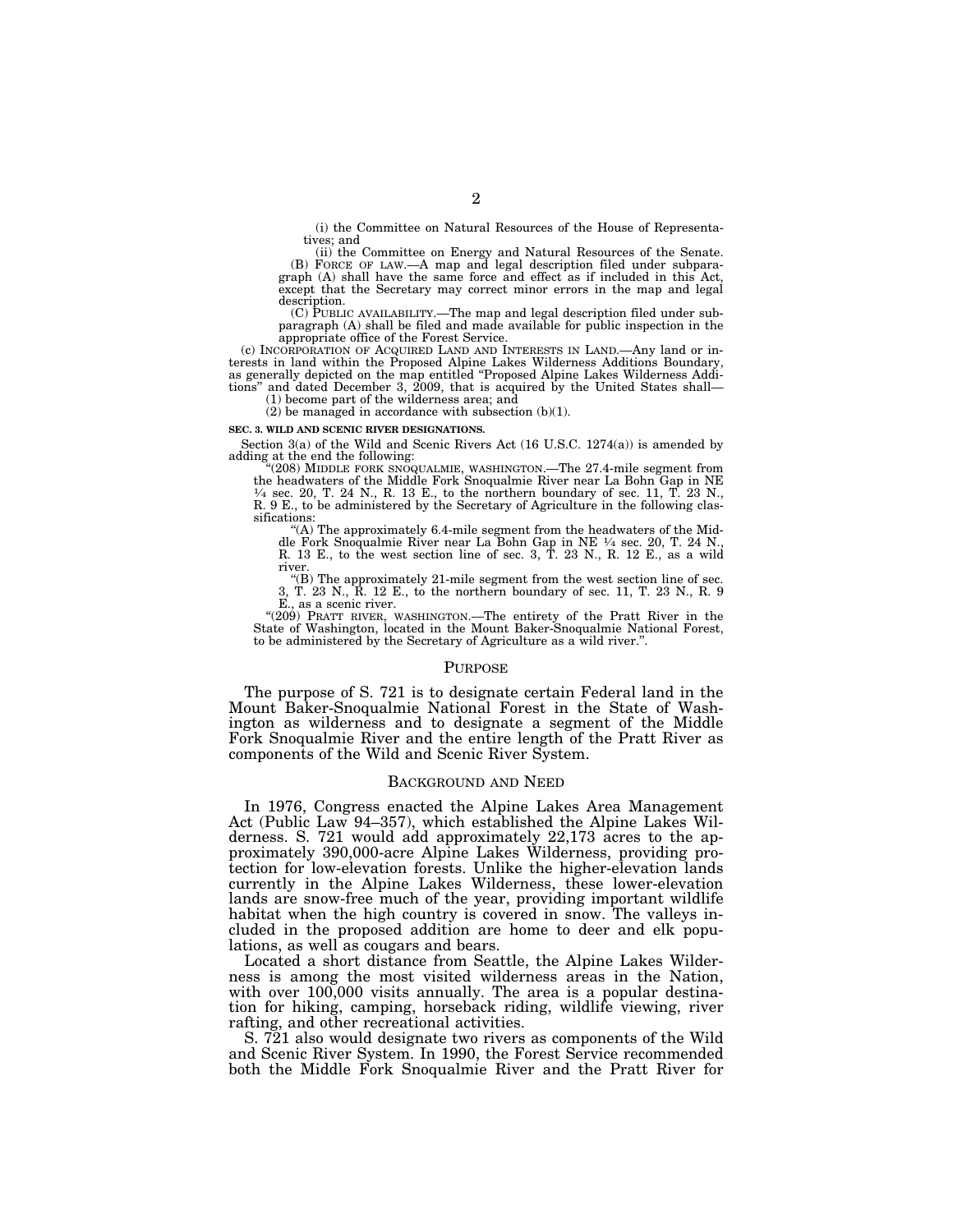(i) the Committee on Natural Resources of the House of Representatives; and

(ii) the Committee on Energy and Natural Resources of the Senate. (B) FORCE OF LAW.—A map and legal description filed under subparagraph (A) shall have the same force and effect as if included in this Act, except that the Secretary may correct minor errors in the map and legal description.

(C) PUBLIC AVAILABILITY.—The map and legal description filed under sub-paragraph (A) shall be filed and made available for public inspection in the appropriate office of the Forest Service.

(c) INCORPORATION OF ACQUIRED LAND AND INTERESTS IN LAND.—Any land or interests in land within the Proposed Alpine Lakes Wilderness Additions Boundary, as generally depicted on the map entitled ''Proposed Alpine Lakes Wilderness Additions'' and dated December 3, 2009, that is acquired by the United States shall— (1) become part of the wilderness area; and

 $(2)$  be managed in accordance with subsection  $(b)(1)$ .

**SEC. 3. WILD AND SCENIC RIVER DESIGNATIONS.** 

Section 3(a) of the Wild and Scenic Rivers Act (16 U.S.C. 1274(a)) is amended by adding at the end the following:

''(208) MIDDLE FORK SNOQUALMIE, WASHINGTON.—The 27.4-mile segment from the headwaters of the Middle Fork Snoqualmie River near La Bohn Gap in NE  $\frac{1}{4}$  sec. 20, T. 24 N., R. 13 E., to the northern boundary of sec. 11, T. 23 N., R. 9 E., to be administered by the Secretary of Agriculture in the following classifications:

''(A) The approximately 6.4-mile segment from the headwaters of the Middle Fork Snoqualmie River near La Bohn Gap in NE 1⁄4 sec. 20, T. 24 N., R. 13 E., to the west section line of sec. 3, T. 23 N., R. 12 E., as a wild river.

''(B) The approximately 21-mile segment from the west section line of sec. 3, T. 23 N., R. 12 E., to the northern boundary of sec. 11, T. 23 N., R. 9 E., as a scenic river.

''(209) PRATT RIVER, WASHINGTON.—The entirety of the Pratt River in the State of Washington, located in the Mount Baker-Snoqualmie National Forest, to be administered by the Secretary of Agriculture as a wild river.''.

### PURPOSE

The purpose of S. 721 is to designate certain Federal land in the Mount Baker-Snoqualmie National Forest in the State of Washington as wilderness and to designate a segment of the Middle Fork Snoqualmie River and the entire length of the Pratt River as components of the Wild and Scenic River System.

#### BACKGROUND AND NEED

In 1976, Congress enacted the Alpine Lakes Area Management Act (Public Law 94–357), which established the Alpine Lakes Wilderness. S. 721 would add approximately 22,173 acres to the approximately 390,000-acre Alpine Lakes Wilderness, providing protection for low-elevation forests. Unlike the higher-elevation lands currently in the Alpine Lakes Wilderness, these lower-elevation lands are snow-free much of the year, providing important wildlife habitat when the high country is covered in snow. The valleys included in the proposed addition are home to deer and elk populations, as well as cougars and bears.

Located a short distance from Seattle, the Alpine Lakes Wilderness is among the most visited wilderness areas in the Nation, with over 100,000 visits annually. The area is a popular destination for hiking, camping, horseback riding, wildlife viewing, river rafting, and other recreational activities.

S. 721 also would designate two rivers as components of the Wild and Scenic River System. In 1990, the Forest Service recommended both the Middle Fork Snoqualmie River and the Pratt River for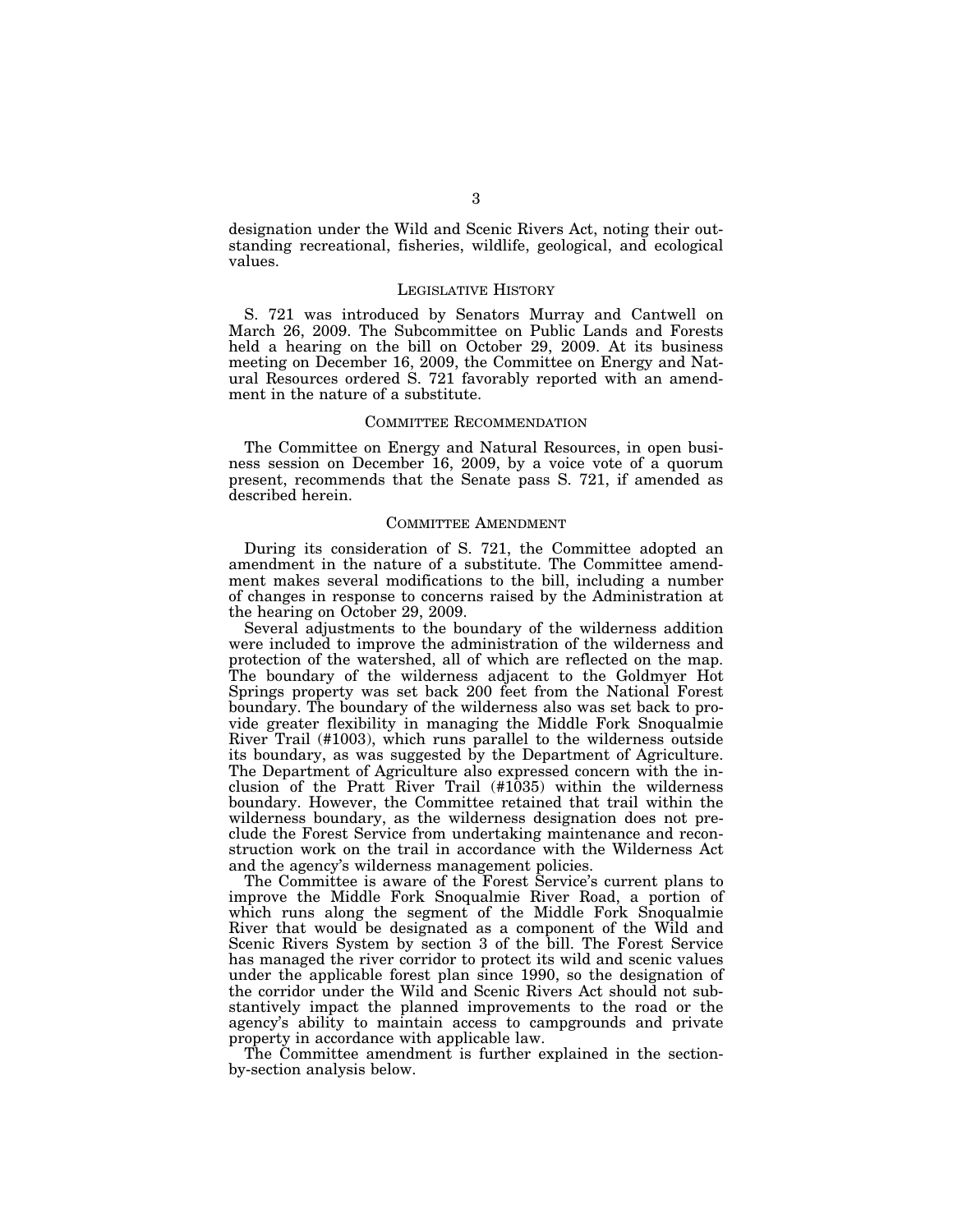designation under the Wild and Scenic Rivers Act, noting their outstanding recreational, fisheries, wildlife, geological, and ecological values.

## LEGISLATIVE HISTORY

S. 721 was introduced by Senators Murray and Cantwell on March 26, 2009. The Subcommittee on Public Lands and Forests held a hearing on the bill on October 29, 2009. At its business meeting on December 16, 2009, the Committee on Energy and Natural Resources ordered S. 721 favorably reported with an amendment in the nature of a substitute.

# COMMITTEE RECOMMENDATION

The Committee on Energy and Natural Resources, in open business session on December 16, 2009, by a voice vote of a quorum present, recommends that the Senate pass S. 721, if amended as described herein.

# COMMITTEE AMENDMENT

During its consideration of S. 721, the Committee adopted an amendment in the nature of a substitute. The Committee amendment makes several modifications to the bill, including a number of changes in response to concerns raised by the Administration at the hearing on October 29, 2009.

Several adjustments to the boundary of the wilderness addition were included to improve the administration of the wilderness and protection of the watershed, all of which are reflected on the map. The boundary of the wilderness adjacent to the Goldmyer Hot Springs property was set back 200 feet from the National Forest boundary. The boundary of the wilderness also was set back to provide greater flexibility in managing the Middle Fork Snoqualmie River Trail (#1003), which runs parallel to the wilderness outside its boundary, as was suggested by the Department of Agriculture. The Department of Agriculture also expressed concern with the inclusion of the Pratt River Trail  $(\text{\#1035})$  within the wilderness boundary. However, the Committee retained that trail within the wilderness boundary, as the wilderness designation does not preclude the Forest Service from undertaking maintenance and reconstruction work on the trail in accordance with the Wilderness Act and the agency's wilderness management policies.

The Committee is aware of the Forest Service's current plans to improve the Middle Fork Snoqualmie River Road, a portion of which runs along the segment of the Middle Fork Snoqualmie River that would be designated as a component of the Wild and Scenic Rivers System by section 3 of the bill. The Forest Service has managed the river corridor to protect its wild and scenic values under the applicable forest plan since 1990, so the designation of the corridor under the Wild and Scenic Rivers Act should not substantively impact the planned improvements to the road or the agency's ability to maintain access to campgrounds and private property in accordance with applicable law.

The Committee amendment is further explained in the sectionby-section analysis below.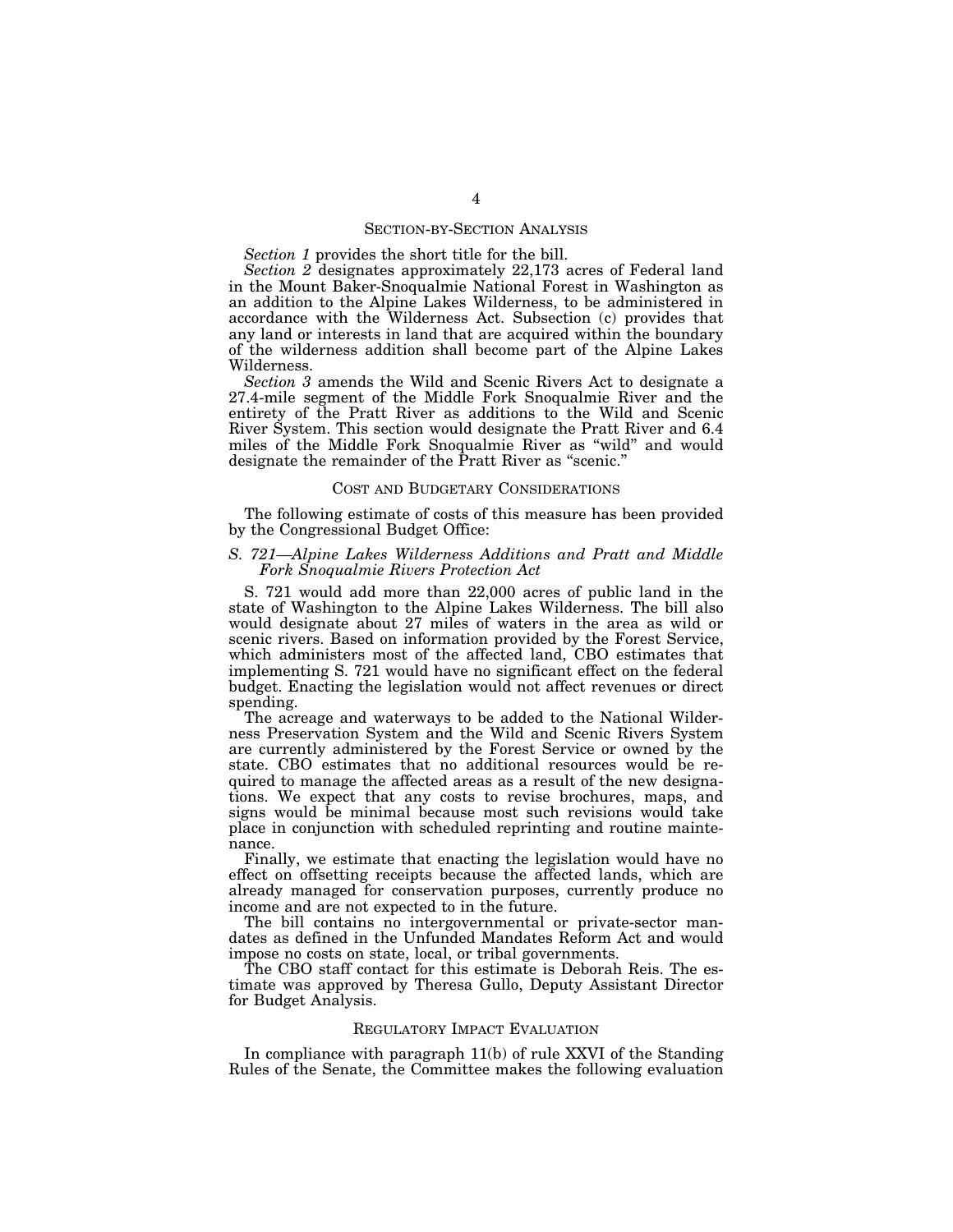## SECTION-BY-SECTION ANALYSIS

*Section 1* provides the short title for the bill.

*Section 2* designates approximately 22,173 acres of Federal land in the Mount Baker-Snoqualmie National Forest in Washington as an addition to the Alpine Lakes Wilderness, to be administered in accordance with the Wilderness Act. Subsection (c) provides that any land or interests in land that are acquired within the boundary of the wilderness addition shall become part of the Alpine Lakes Wilderness.

*Section 3* amends the Wild and Scenic Rivers Act to designate a 27.4-mile segment of the Middle Fork Snoqualmie River and the entirety of the Pratt River as additions to the Wild and Scenic River System. This section would designate the Pratt River and 6.4 miles of the Middle Fork Snoqualmie River as ''wild'' and would designate the remainder of the Pratt River as "scenic."

# COST AND BUDGETARY CONSIDERATIONS

The following estimate of costs of this measure has been provided by the Congressional Budget Office:

# *S. 721—Alpine Lakes Wilderness Additions and Pratt and Middle Fork Snoqualmie Rivers Protection Act*

S. 721 would add more than 22,000 acres of public land in the state of Washington to the Alpine Lakes Wilderness. The bill also would designate about 27 miles of waters in the area as wild or scenic rivers. Based on information provided by the Forest Service, which administers most of the affected land, CBO estimates that implementing S. 721 would have no significant effect on the federal budget. Enacting the legislation would not affect revenues or direct spending.

The acreage and waterways to be added to the National Wilderness Preservation System and the Wild and Scenic Rivers System are currently administered by the Forest Service or owned by the state. CBO estimates that no additional resources would be required to manage the affected areas as a result of the new designations. We expect that any costs to revise brochures, maps, and signs would be minimal because most such revisions would take place in conjunction with scheduled reprinting and routine maintenance.

Finally, we estimate that enacting the legislation would have no effect on offsetting receipts because the affected lands, which are already managed for conservation purposes, currently produce no income and are not expected to in the future.

The bill contains no intergovernmental or private-sector mandates as defined in the Unfunded Mandates Reform Act and would impose no costs on state, local, or tribal governments.

The CBO staff contact for this estimate is Deborah Reis. The estimate was approved by Theresa Gullo, Deputy Assistant Director for Budget Analysis.

### REGULATORY IMPACT EVALUATION

In compliance with paragraph 11(b) of rule XXVI of the Standing Rules of the Senate, the Committee makes the following evaluation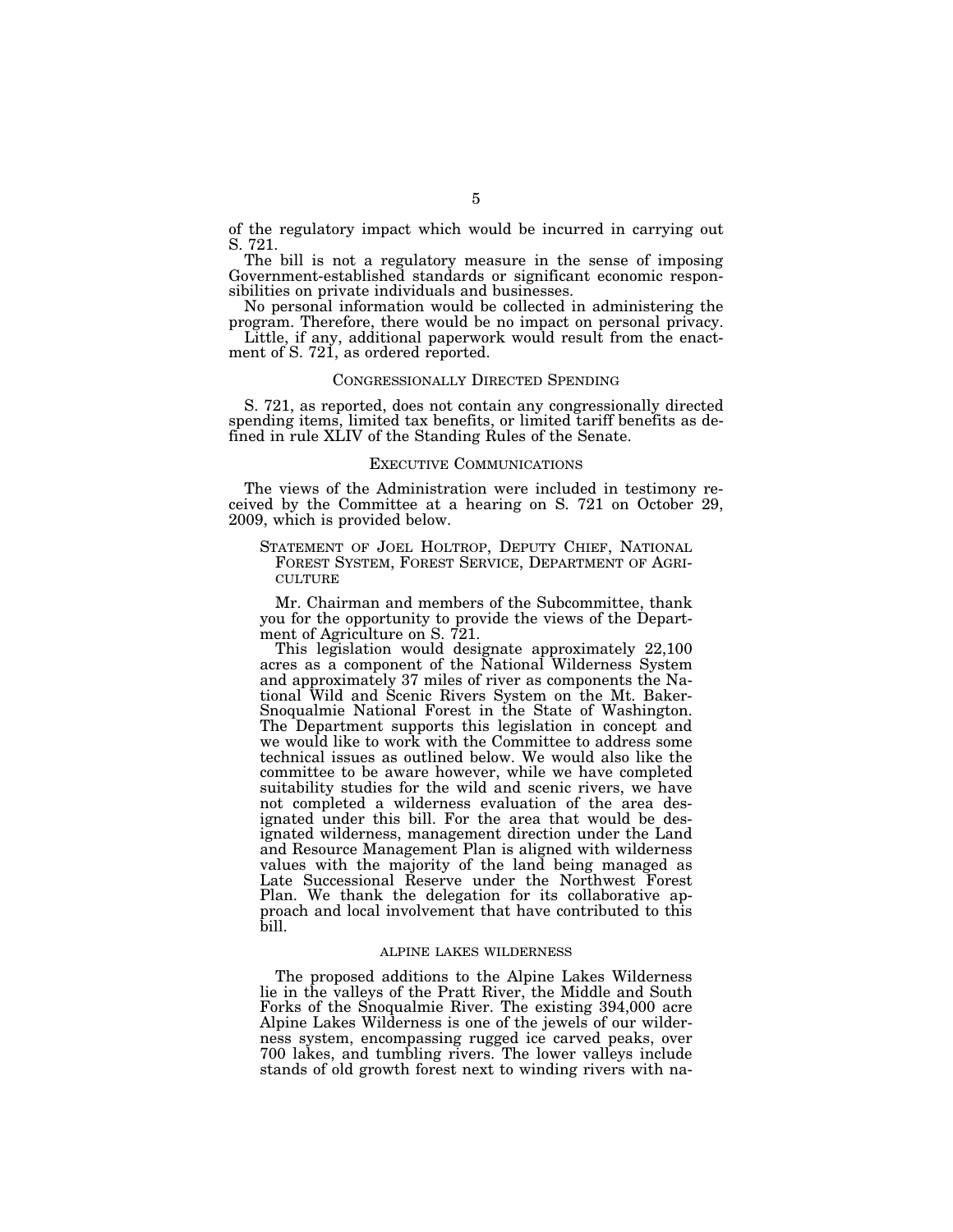of the regulatory impact which would be incurred in carrying out S. 721.

The bill is not a regulatory measure in the sense of imposing Government-established standards or significant economic responsibilities on private individuals and businesses.

No personal information would be collected in administering the program. Therefore, there would be no impact on personal privacy.

Little, if any, additional paperwork would result from the enactment of S. 721, as ordered reported.

#### CONGRESSIONALLY DIRECTED SPENDING

S. 721, as reported, does not contain any congressionally directed spending items, limited tax benefits, or limited tariff benefits as defined in rule XLIV of the Standing Rules of the Senate.

### EXECUTIVE COMMUNICATIONS

The views of the Administration were included in testimony received by the Committee at a hearing on S. 721 on October 29, 2009, which is provided below.

STATEMENT OF JOEL HOLTROP, DEPUTY CHIEF, NATIONAL FOREST SYSTEM, FOREST SERVICE, DEPARTMENT OF AGRI- **CULTURE** 

Mr. Chairman and members of the Subcommittee, thank you for the opportunity to provide the views of the Department of Agriculture on S. 721.

This legislation would designate approximately 22,100 acres as a component of the National Wilderness System and approximately 37 miles of river as components the National Wild and Scenic Rivers System on the Mt. Baker-Snoqualmie National Forest in the State of Washington. The Department supports this legislation in concept and we would like to work with the Committee to address some technical issues as outlined below. We would also like the committee to be aware however, while we have completed suitability studies for the wild and scenic rivers, we have not completed a wilderness evaluation of the area designated under this bill. For the area that would be designated wilderness, management direction under the Land and Resource Management Plan is aligned with wilderness values with the majority of the land being managed as Late Successional Reserve under the Northwest Forest Plan. We thank the delegation for its collaborative approach and local involvement that have contributed to this bill.

#### ALPINE LAKES WILDERNESS

The proposed additions to the Alpine Lakes Wilderness lie in the valleys of the Pratt River, the Middle and South Forks of the Snoqualmie River. The existing 394,000 acre Alpine Lakes Wilderness is one of the jewels of our wilderness system, encompassing rugged ice carved peaks, over 700 lakes, and tumbling rivers. The lower valleys include stands of old growth forest next to winding rivers with na-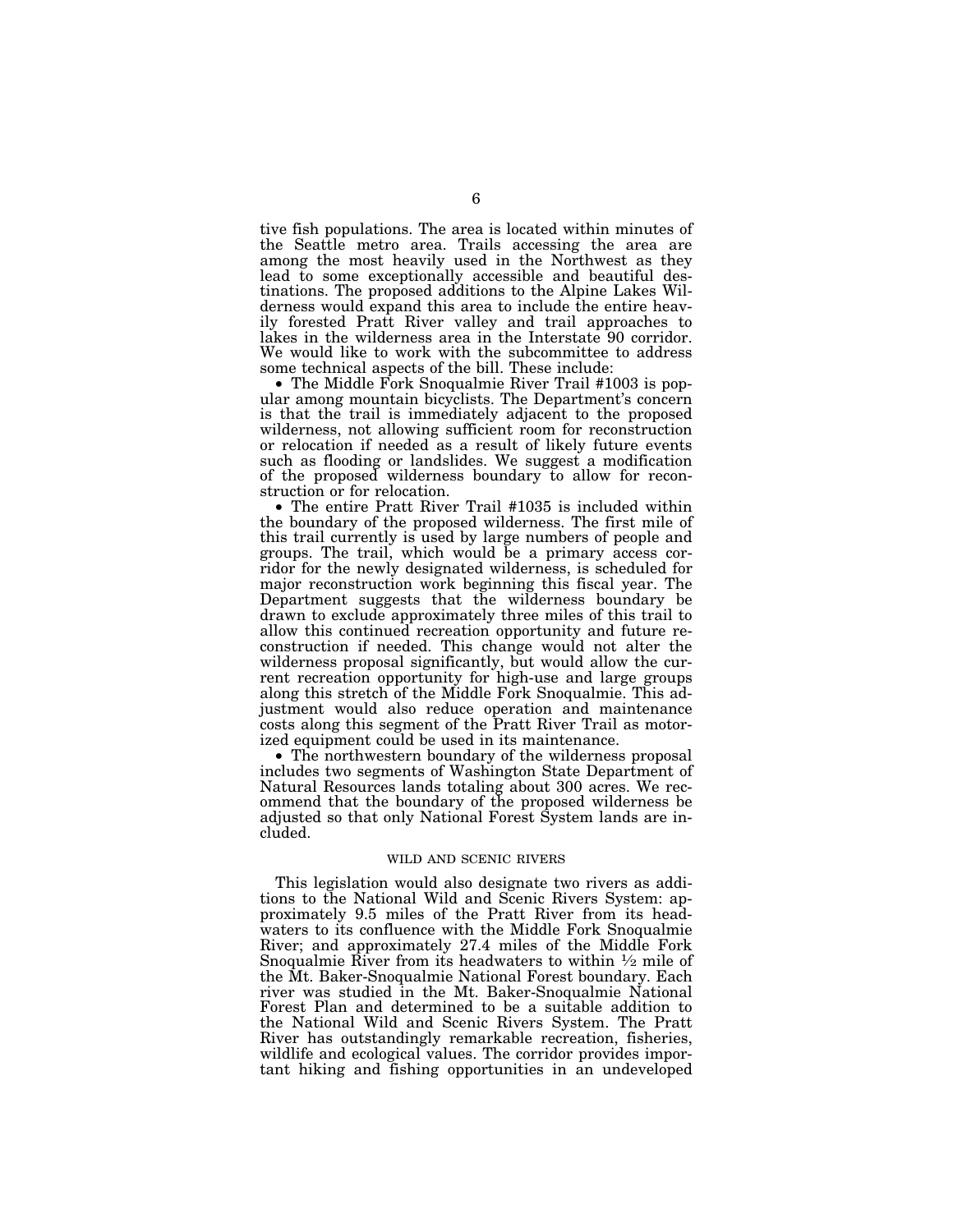tive fish populations. The area is located within minutes of the Seattle metro area. Trails accessing the area are among the most heavily used in the Northwest as they lead to some exceptionally accessible and beautiful destinations. The proposed additions to the Alpine Lakes Wilderness would expand this area to include the entire heavily forested Pratt River valley and trail approaches to lakes in the wilderness area in the Interstate 90 corridor. We would like to work with the subcommittee to address some technical aspects of the bill. These include:

• The Middle Fork Snoqualmie River Trail #1003 is popular among mountain bicyclists. The Department's concern is that the trail is immediately adjacent to the proposed wilderness, not allowing sufficient room for reconstruction or relocation if needed as a result of likely future events such as flooding or landslides. We suggest a modification of the proposed wilderness boundary to allow for recon-

struction or for relocation. • The entire Pratt River Trail #1035 is included within the boundary of the proposed wilderness. The first mile of this trail currently is used by large numbers of people and groups. The trail, which would be a primary access corridor for the newly designated wilderness, is scheduled for major reconstruction work beginning this fiscal year. The Department suggests that the wilderness boundary be drawn to exclude approximately three miles of this trail to allow this continued recreation opportunity and future reconstruction if needed. This change would not alter the wilderness proposal significantly, but would allow the current recreation opportunity for high-use and large groups along this stretch of the Middle Fork Snoqualmie. This adjustment would also reduce operation and maintenance costs along this segment of the Pratt River Trail as motorized equipment could be used in its maintenance.

• The northwestern boundary of the wilderness proposal includes two segments of Washington State Department of Natural Resources lands totaling about 300 acres. We recommend that the boundary of the proposed wilderness be adjusted so that only National Forest System lands are included.

# WILD AND SCENIC RIVERS

This legislation would also designate two rivers as additions to the National Wild and Scenic Rivers System: approximately 9.5 miles of the Pratt River from its headwaters to its confluence with the Middle Fork Snoqualmie River; and approximately 27.4 miles of the Middle Fork Snoqualmie River from its headwaters to within  $\frac{1}{2}$  mile of the Mt. Baker-Snoqualmie National Forest boundary. Each river was studied in the Mt. Baker-Snoqualmie National Forest Plan and determined to be a suitable addition to the National Wild and Scenic Rivers System. The Pratt River has outstandingly remarkable recreation, fisheries, wildlife and ecological values. The corridor provides important hiking and fishing opportunities in an undeveloped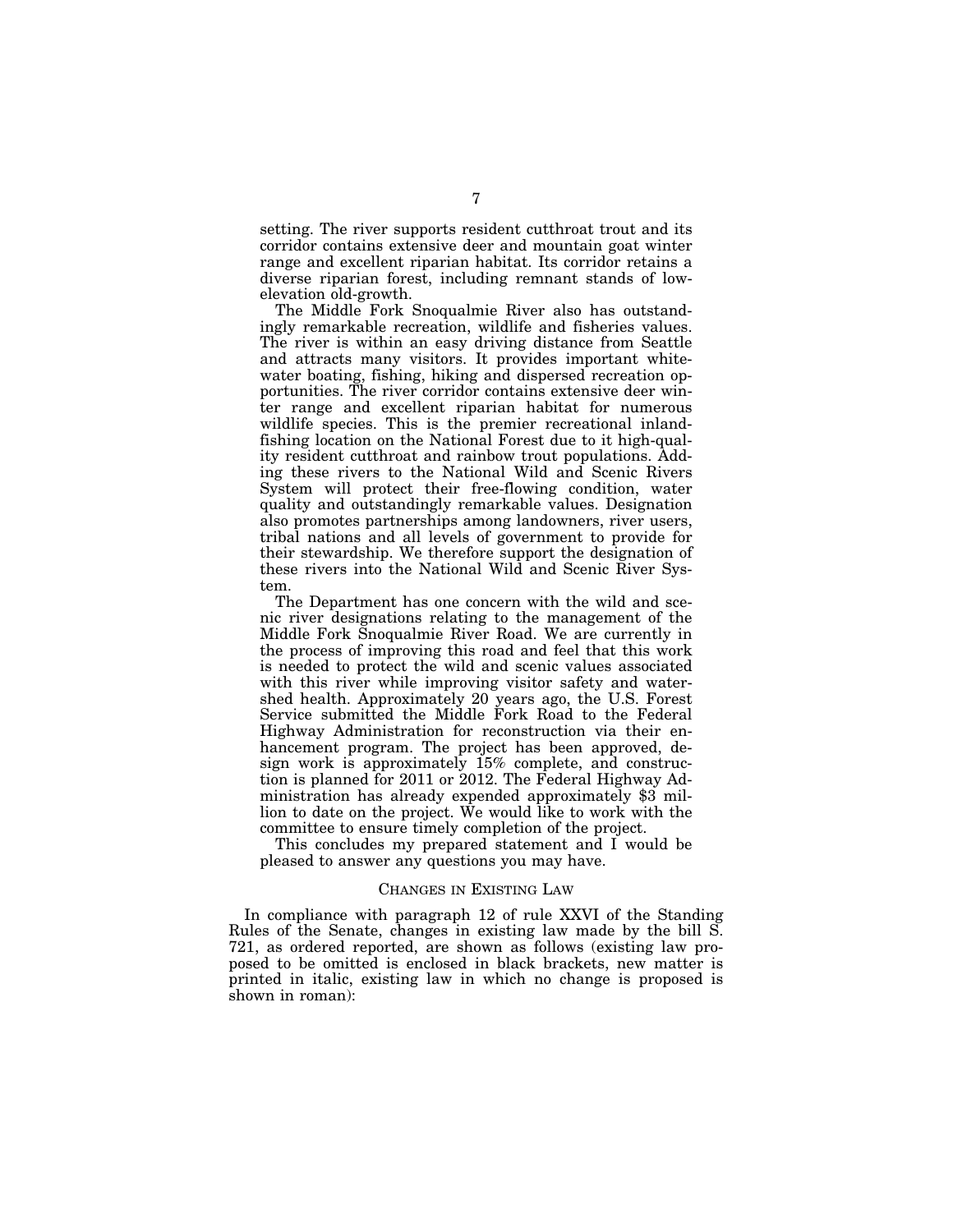setting. The river supports resident cutthroat trout and its corridor contains extensive deer and mountain goat winter range and excellent riparian habitat. Its corridor retains a diverse riparian forest, including remnant stands of lowelevation old-growth.

The Middle Fork Snoqualmie River also has outstandingly remarkable recreation, wildlife and fisheries values. The river is within an easy driving distance from Seattle and attracts many visitors. It provides important whitewater boating, fishing, hiking and dispersed recreation opportunities. The river corridor contains extensive deer winter range and excellent riparian habitat for numerous wildlife species. This is the premier recreational inlandfishing location on the National Forest due to it high-quality resident cutthroat and rainbow trout populations. Adding these rivers to the National Wild and Scenic Rivers System will protect their free-flowing condition, water quality and outstandingly remarkable values. Designation also promotes partnerships among landowners, river users, tribal nations and all levels of government to provide for their stewardship. We therefore support the designation of these rivers into the National Wild and Scenic River System.

The Department has one concern with the wild and scenic river designations relating to the management of the Middle Fork Snoqualmie River Road. We are currently in the process of improving this road and feel that this work is needed to protect the wild and scenic values associated with this river while improving visitor safety and watershed health. Approximately 20 years ago, the U.S. Forest Service submitted the Middle Fork Road to the Federal Highway Administration for reconstruction via their enhancement program. The project has been approved, design work is approximately 15% complete, and construction is planned for 2011 or 2012. The Federal Highway Administration has already expended approximately \$3 million to date on the project. We would like to work with the committee to ensure timely completion of the project.

This concludes my prepared statement and I would be pleased to answer any questions you may have.

## CHANGES IN EXISTING LAW

In compliance with paragraph 12 of rule XXVI of the Standing Rules of the Senate, changes in existing law made by the bill S. 721, as ordered reported, are shown as follows (existing law proposed to be omitted is enclosed in black brackets, new matter is printed in italic, existing law in which no change is proposed is shown in roman):